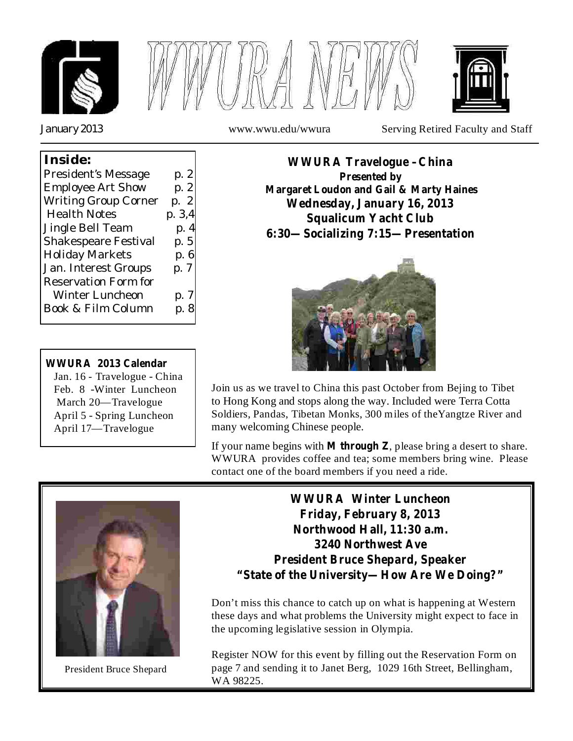



*January 2013* www.wwu.edu/wwura Serving Retired Faculty and Staff

## **Inside:** President's Message p. 2 Employee Art Show p. 2 Writing Group Corner p. 2 Health Notes p. 3,4 Jingle Bell Team p. 4 Shakespeare Festival p. 5 Holiday Markets p. 6 Jan. Interest Groups p. 7 Reservation Form for Winter Luncheon p. 7 Book & Film Column p. 8

#### **WWURA 2013 Calendar**

Jan. 16 - Travelogue - China Feb. 8 -Winter Luncheon March 20—Travelogue April 5 - Spring Luncheon April 17—Travelogue





Join us as we travel to China this past October from Bejing to Tibet to Hong Kong and stops along the way. Included were Terra Cotta Soldiers, Pandas, Tibetan Monks, 300 miles of theYangtze River and many welcoming Chinese people.

If your name begins with **M** through  $Z$ , please bring a desert to share. WWURA provides coffee and tea; some members bring wine. Please contact one of the board members if you need a ride.



President Bruce Shepard

**WWURA Winter Luncheon Friday, February 8, 2013 Northwood Hall, 11:30 a.m. 3240 Northwest Ave President Bruce Shepard, Speaker "State of the University—How Are We Doing?"**

Don't miss this chance to catch up on what is happening at Western these days and what problems the University might expect to face in the upcoming legislative session in Olympia.

Register NOW for this event by filling out the Reservation Form on page 7 and sending it to Janet Berg, 1029 16th Street, Bellingham, WA 98225.

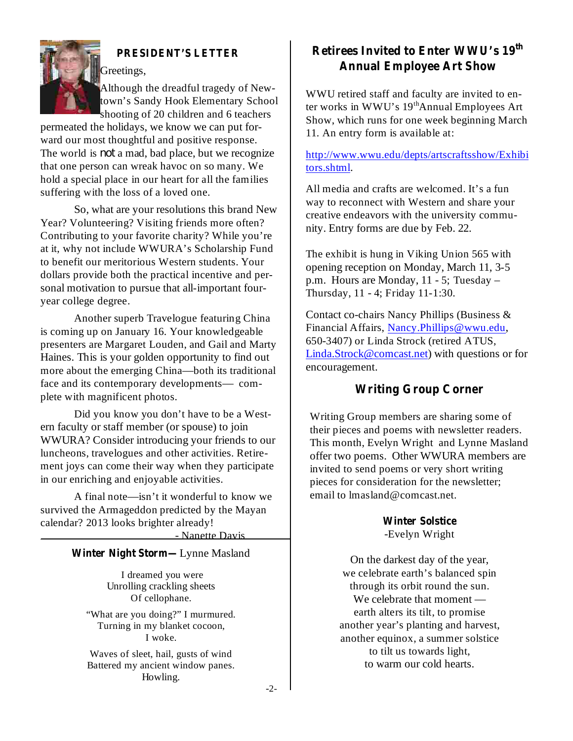

Although the dreadful tragedy of Newtown's Sandy Hook Elementary School shooting of 20 children and 6 teachers

permeated the holidays, we know we can put forward our most thoughtful and positive response. The world is *not* a mad, bad place, but we recognize that one person can wreak havoc on so many. We hold a special place in our heart for all the families suffering with the loss of a loved one.

So, what are your resolutions this brand New Year? Volunteering? Visiting friends more often? Contributing to your favorite charity? While you're at it, why not include WWURA's Scholarship Fund to benefit our meritorious Western students. Your dollars provide both the practical incentive and personal motivation to pursue that all-important fouryear college degree.

Another superb Travelogue featuring China is coming up on January 16. Your knowledgeable presenters are Margaret Louden, and Gail and Marty Haines. This is your golden opportunity to find out more about the emerging China—both its traditional face and its contemporary developments— complete with magnificent photos.

Did you know you don't have to be a Western faculty or staff member (or spouse) to join WWURA? Consider introducing your friends to our luncheons, travelogues and other activities. Retirement joys can come their way when they participate in our enriching and enjoyable activities.

A final note—isn't it wonderful to know we survived the Armageddon predicted by the Mayan calendar? 2013 looks brighter already!

- Nanette Davis

#### **Winter Night Storm—** Lynne Masland

I dreamed you were Unrolling crackling sheets Of cellophane.

"What are you doing?" I murmured. Turning in my blanket cocoon, I woke.

Waves of sleet, hail, gusts of wind Battered my ancient window panes. Howling.

# **PRESIDENT'S LETTER Retirees Invited to Enter WWU's 19 th Annual Employee Art Show**

WWU retired staff and faculty are invited to enter works in WWU's 19<sup>th</sup>Annual Employees Art Show, which runs for one week beginning March 11. An entry form is available at:

#### http://www.wwu.edu/depts/artscraftsshow/Exhibi tors.shtml.

All media and crafts are welcomed. It's a fun way to reconnect with Western and share your creative endeavors with the university community. Entry forms are due by Feb. 22.

The exhibit is hung in Viking Union 565 with opening reception on Monday, March 11, 3-5 p.m. Hours are Monday, 11 - 5; Tuesday – Thursday, 11 - 4; Friday 11-1:30.

Contact co-chairs Nancy Phillips (Business & Financial Affairs, Nancy.Phillips@wwu.edu, 650-3407) or Linda Strock (retired ATUS, Linda.Strock@comcast.net) with questions or for encouragement.

#### **Writing Group Corner**

Writing Group members are sharing some of their pieces and poems with newsletter readers. This month, Evelyn Wright and Lynne Masland offer two poems. Other WWURA members are invited to send poems or very short writing pieces for consideration for the newsletter; email to lmasland@comcast.net.

> **Winter Solstice** -Evelyn Wright

On the darkest day of the year, we celebrate earth's balanced spin through its orbit round the sun. We celebrate that moment earth alters its tilt, to promise another year's planting and harvest, another equinox, a summer solstice to tilt us towards light, to warm our cold hearts.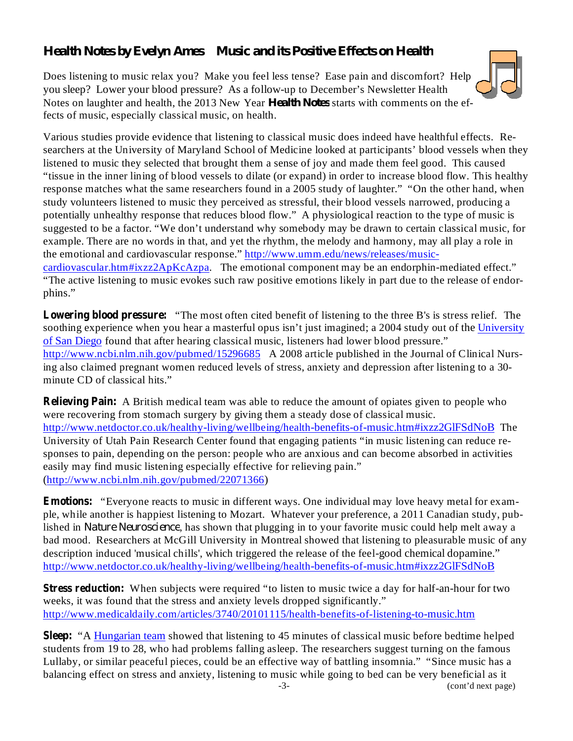# *Health Notes by Evelyn Ames Music and its Positive Effects on Health*

Notes on laughter and health, the 2013 New Year *Health Notes* starts with comments on the ef-Does listening to music relax you? Make you feel less tense? Ease pain and discomfort? Help you sleep? Lower your blood pressure? As a follow-up to December's Newsletter Health fects of music, especially classical music, on health.

Various studies provide evidence that listening to classical music does indeed have healthful effects. Researchers at the University of Maryland School of Medicine looked at participants' blood vessels when they listened to music they selected that brought them a sense of joy and made them feel good. This caused "tissue in the inner lining of blood vessels to dilate (or expand) in order to increase blood flow. This healthy response matches what the same researchers found in a 2005 study of laughter." "On the other hand, when study volunteers listened to music they perceived as stressful, their blood vessels narrowed, producing a potentially unhealthy response that reduces blood flow." A physiological reaction to the type of music is suggested to be a factor. "We don't understand why somebody may be drawn to certain classical music, for example. There are no words in that, and yet the rhythm, the melody and harmony, may all play a role in the emotional and cardiovascular response." http://www.umm.edu/news/releases/musiccardiovascular.htm#ixzz2ApKcAzpa. The emotional component may be an endorphin-mediated effect."

"The active listening to music evokes such raw positive emotions likely in part due to the release of endorphins."

**Lowering blood pressure:** "The most often cited benefit of listening to the three B's is stress relief. The soothing experience when you hear a masterful opus isn't just imagined; a 2004 study out of the University of San Diego found that after hearing classical music, listeners had lower blood pressure." http://www.ncbi.nlm.nih.gov/pubmed/15296685 A 2008 article published in the Journal of Clinical Nursing also claimed pregnant women reduced levels of stress, anxiety and depression after listening to a 30 minute CD of classical hits."

**Relieving Pain:** A British medical team was able to reduce the amount of opiates given to people who were recovering from stomach surgery by giving them a steady dose of classical music. http://www.netdoctor.co.uk/healthy-living/wellbeing/health-benefits-of-music.htm#ixzz2GlFSdNoB The University of Utah Pain Research Center found that engaging patients "in music listening can reduce responses to pain, depending on the person: people who are anxious and can become absorbed in activities easily may find music listening especially effective for relieving pain." (http://www.ncbi.nlm.nih.gov/pubmed/22071366)

**Emotions:** "Everyone reacts to music in different ways. One individual may love heavy metal for example, while another is happiest listening to Mozart. Whatever your preference, a 2011 Canadian study, published in *Nature Neuroscience*, has shown that plugging in to your favorite music could help melt away a bad mood. Researchers at McGill University in Montreal showed that listening to pleasurable music of any description induced 'musical chills', which triggered the release of the feel-good chemical dopamine." http://www.netdoctor.co.uk/healthy-living/wellbeing/health-benefits-of-music.htm#ixzz2GlFSdNoB

**Stress reduction:** When subjects were required "to listen to music twice a day for half-an-hour for two weeks, it was found that the stress and anxiety levels dropped significantly." http://www.medicaldaily.com/articles/3740/20101115/health-benefits-of-listening-to-music.htm

Sleep: "A Hungarian team showed that listening to 45 minutes of classical music before bedtime helped students from 19 to 28, who had problems falling asleep. The researchers suggest turning on the famous Lullaby, or similar peaceful pieces, could be an effective way of battling insomnia." "Since music has a balancing effect on stress and anxiety, listening to music while going to bed can be very beneficial as it -3- (cont'd next page)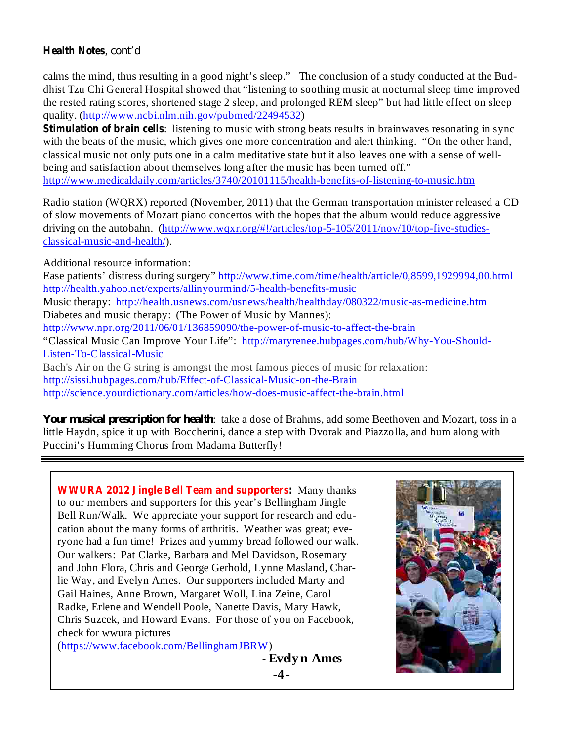#### **Health Notes** , *cont'd*

calms the mind, thus resulting in a good night's sleep." The conclusion of a study conducted at the Buddhist Tzu Chi General Hospital showed that "listening to soothing music at nocturnal sleep time improved the rested rating scores, shortened stage 2 sleep, and prolonged REM sleep" but had little effect on sleep quality. (http://www.ncbi.nlm.nih.gov/pubmed/22494532)

**Stimulation of brain cells**: listening to music with strong beats results in brainwaves resonating in sync with the beats of the music, which gives one more concentration and alert thinking. "On the other hand, classical music not only puts one in a calm meditative state but it also leaves one with a sense of wellbeing and satisfaction about themselves long after the music has been turned off." http://www.medicaldaily.com/articles/3740/20101115/health-benefits-of-listening-to-music.htm

Radio station (WQRX) reported (November, 2011) that the German transportation minister released a CD of slow movements of Mozart piano concertos with the hopes that the album would reduce aggressive driving on the autobahn. (http://www.wqxr.org/#!/articles/top-5-105/2011/nov/10/top-five-studiesclassical-music-and-health/).

Additional resource information:

Ease patients' distress during surgery" http://www.time.com/time/health/article/0,8599,1929994,00.html http://health.yahoo.net/experts/allinyourmind/5-health-benefits-music Music therapy: http://health.usnews.com/usnews/health/healthday/080322/music-as-medicine.htm Diabetes and music therapy: (The Power of Music by Mannes): http://www.npr.org/2011/06/01/136859090/the-power-of-music-to-affect-the-brain "Classical Music Can Improve Your Life": http://maryrenee.hubpages.com/hub/Why-You-Should-Listen-To-Classical-Music Bach's Air on the G string is amongst the most famous pieces of music for relaxation: http://sissi.hubpages.com/hub/Effect-of-Classical-Music-on-the-Brain http://science.yourdictionary.com/articles/how-does-music-affect-the-brain.html

Your *musical prescription for health*: take a dose of Brahms, add some Beethoven and Mozart, toss in a little Haydn, spice it up with Boccherini, dance a step with Dvorak and Piazzolla, and hum along with Puccini's Humming Chorus from Madama Butterfly!

**WWURA 2012 Jingle Bell Team and supporters:** Many thanks to our members and supporters for this year's Bellingham Jingle Bell Run/Walk. We appreciate your support for research and education about the many forms of arthritis. Weather was great; everyone had a fun time! Prizes and yummy bread followed our walk. Our walkers: Pat Clarke, Barbara and Mel Davidson, Rosemary and John Flora, Chris and George Gerhold, Lynne Masland, Charlie Way, and Evelyn Ames. Our supporters included Marty and Gail Haines, Anne Brown, Margaret Woll, Lina Zeine, Carol Radke, Erlene and Wendell Poole, Nanette Davis, Mary Hawk, Chris Suzcek, and Howard Evans. For those of you on Facebook, check for wwura pictures (https://www.facebook.com/BellinghamJBRW)

- **Evelyn Ames -4-**

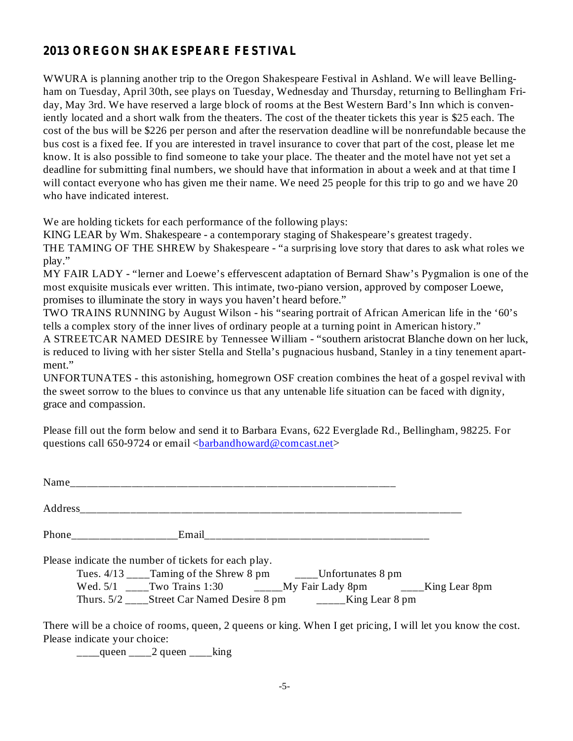## **2013 OREGON SHAKESPEARE FESTIVAL**

WWURA is planning another trip to the Oregon Shakespeare Festival in Ashland. We will leave Bellingham on Tuesday, April 30th, see plays on Tuesday, Wednesday and Thursday, returning to Bellingham Friday, May 3rd. We have reserved a large block of rooms at the Best Western Bard's Inn which is conveniently located and a short walk from the theaters. The cost of the theater tickets this year is \$25 each. The cost of the bus will be \$226 per person and after the reservation deadline will be nonrefundable because the bus cost is a fixed fee. If you are interested in travel insurance to cover that part of the cost, please let me know. It is also possible to find someone to take your place. The theater and the motel have not yet set a deadline for submitting final numbers, we should have that information in about a week and at that time I will contact everyone who has given me their name. We need 25 people for this trip to go and we have 20 who have indicated interest.

We are holding tickets for each performance of the following plays:

KING LEAR by Wm. Shakespeare - a contemporary staging of Shakespeare's greatest tragedy. THE TAMING OF THE SHREW by Shakespeare - "a surprising love story that dares to ask what roles we play."

MY FAIR LADY - "lerner and Loewe's effervescent adaptation of Bernard Shaw's Pygmalion is one of the most exquisite musicals ever written. This intimate, two-piano version, approved by composer Loewe, promises to illuminate the story in ways you haven't heard before."

TWO TRAINS RUNNING by August Wilson - his "searing portrait of African American life in the '60's tells a complex story of the inner lives of ordinary people at a turning point in American history."

A STREETCAR NAMED DESIRE by Tennessee William - "southern aristocrat Blanche down on her luck, is reduced to living with her sister Stella and Stella's pugnacious husband, Stanley in a tiny tenement apartment."

UNFORTUNATES - this astonishing, homegrown OSF creation combines the heat of a gospel revival with the sweet sorrow to the blues to convince us that any untenable life situation can be faced with dignity, grace and compassion.

Please fill out the form below and send it to Barbara Evans, 622 Everglade Rd., Bellingham, 98225. For questions call 650-9724 or email  $\langle$ barbandhoward@comcast.net $\rangle$ 

| Please indicate the number of tickets for each play. |                                                                                   |  |  |
|------------------------------------------------------|-----------------------------------------------------------------------------------|--|--|
|                                                      | Tues. 4/13 _____ Taming of the Shrew 8 pm _____ Unfortunates 8 pm                 |  |  |
|                                                      | Wed. 5/1 ____Two Trains 1:30 _______My Fair Lady 8pm ______King Lear 8pm          |  |  |
|                                                      | Thurs. $5/2$ ____Street Car Named Desire 8 pm $\qquad \qquad$ _____King Lear 8 pm |  |  |

There will be a choice of rooms, queen, 2 queens or king. When I get pricing, I will let you know the cost. Please indicate your choice:

 $\frac{1}{2}$ queen  $\frac{2}{2}$  queen  $\frac{1}{2}$ king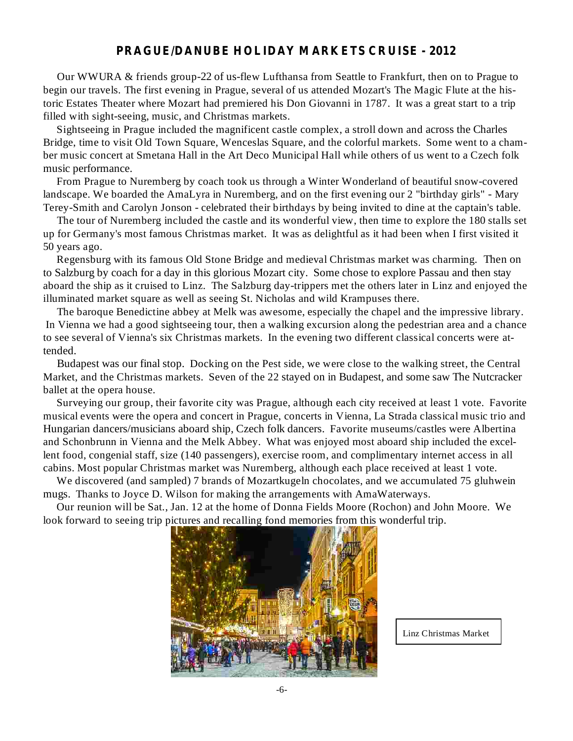#### **PRAGUE/DANUBE HOLIDAY MARKETS CRUISE - 2012**

Our WWURA & friends group-22 of us-flew Lufthansa from Seattle to Frankfurt, then on to Prague to begin our travels. The first evening in Prague, several of us attended Mozart's The Magic Flute at the historic Estates Theater where Mozart had premiered his Don Giovanni in 1787. It was a great start to a trip filled with sight-seeing, music, and Christmas markets.

Sightseeing in Prague included the magnificent castle complex, a stroll down and across the Charles Bridge, time to visit Old Town Square, Wenceslas Square, and the colorful markets. Some went to a chamber music concert at Smetana Hall in the Art Deco Municipal Hall while others of us went to a Czech folk music performance.

From Prague to Nuremberg by coach took us through a Winter Wonderland of beautiful snow-covered landscape. We boarded the AmaLyra in Nuremberg, and on the first evening our 2 "birthday girls" - Mary Terey-Smith and Carolyn Jonson - celebrated their birthdays by being invited to dine at the captain's table.

The tour of Nuremberg included the castle and its wonderful view, then time to explore the 180 stalls set up for Germany's most famous Christmas market. It was as delightful as it had been when I first visited it 50 years ago.

Regensburg with its famous Old Stone Bridge and medieval Christmas market was charming. Then on to Salzburg by coach for a day in this glorious Mozart city. Some chose to explore Passau and then stay aboard the ship as it cruised to Linz. The Salzburg day-trippers met the others later in Linz and enjoyed the illuminated market square as well as seeing St. Nicholas and wild Krampuses there.

The baroque Benedictine abbey at Melk was awesome, especially the chapel and the impressive library. In Vienna we had a good sightseeing tour, then a walking excursion along the pedestrian area and a chance to see several of Vienna's six Christmas markets. In the evening two different classical concerts were attended.

Budapest was our final stop. Docking on the Pest side, we were close to the walking street, the Central Market, and the Christmas markets. Seven of the 22 stayed on in Budapest, and some saw The Nutcracker ballet at the opera house.

Surveying our group, their favorite city was Prague, although each city received at least 1 vote. Favorite musical events were the opera and concert in Prague, concerts in Vienna, La Strada classical music trio and Hungarian dancers/musicians aboard ship, Czech folk dancers. Favorite museums/castles were Albertina and Schonbrunn in Vienna and the Melk Abbey. What was enjoyed most aboard ship included the excellent food, congenial staff, size (140 passengers), exercise room, and complimentary internet access in all cabins. Most popular Christmas market was Nuremberg, although each place received at least 1 vote.

We discovered (and sampled) 7 brands of Mozartkugeln chocolates, and we accumulated 75 gluhwein mugs. Thanks to Joyce D. Wilson for making the arrangements with AmaWaterways.

Our reunion will be Sat., Jan. 12 at the home of Donna Fields Moore (Rochon) and John Moore. We look forward to seeing trip pictures and recalling fond memories from this wonderful trip.



Linz Christmas Market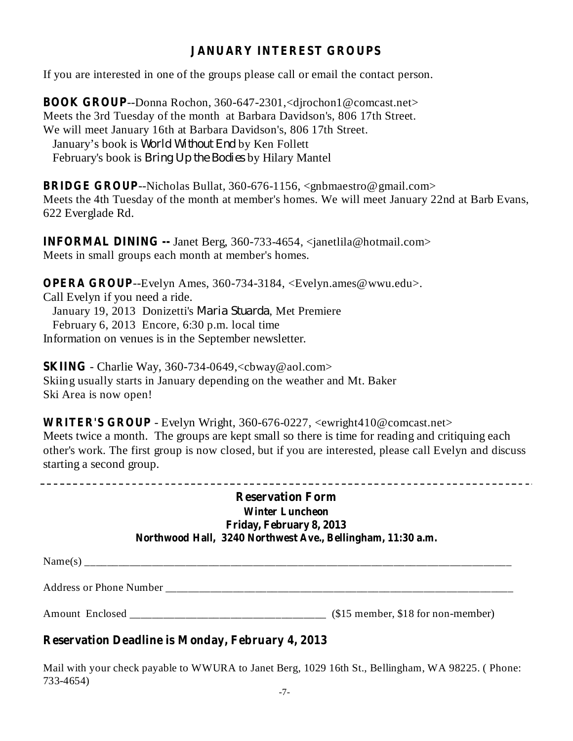## **JANUARY INTEREST GROUPS**

If you are interested in one of the groups please call or email the contact person.

**BOOK GROUP** --Donna Rochon, 360-647-2301,<djrochon1@comcast.net> Meets the 3rd Tuesday of the month at Barbara Davidson's, 806 17th Street. We will meet January 16th at Barbara Davidson's, 806 17th Street. January's book is *World Without End* by Ken Follett February's book is *Bring Up the Bodies* by Hilary Mantel

**BRIDGE GROUP** --Nicholas Bullat, 360-676-1156, <gnbmaestro@gmail.com> Meets the 4th Tuesday of the month at member's homes. We will meet January 22nd at Barb Evans, 622 Everglade Rd.

**INFORMAL DINING --** Janet Berg, 360-733-4654, <janetlila@hotmail.com> Meets in small groups each month at member's homes.

**OPERA GROUP** --Evelyn Ames, 360-734-3184, <Evelyn.ames@wwu.edu>. Call Evelyn if you need a ride. January 19, 2013 Donizetti's Maria Stuarda, Met Premiere February 6, 2013 Encore, 6:30 p.m. local time Information on venues is in the September newsletter.

**SKIING** - Charlie Way, 360-734-0649,<cbway@aol.com> Skiing usually starts in January depending on the weather and Mt. Baker Ski Area is now open!

**WRITER'S GROUP** - Evelyn Wright, 360-676-0227, <ewright410@comcast.net> Meets twice a month. The groups are kept small so there is time for reading and critiquing each other's work. The first group is now closed, but if you are interested, please call Evelyn and discuss starting a second group.

#### **Reservation Form Winter Luncheon Friday, February 8, 2013 Northwood Hall, 3240 Northwest Ave., Bellingham, 11:30 a.m.**

 $Name(s)$ 

Address or Phone Number

Amount Enclosed (\$15 member, \$18 for non-member)

## **Reservation Deadline is Monday, February 4, 2013**

Mail with your check payable to WWURA to Janet Berg, 1029 16th St., Bellingham, WA 98225. ( Phone: 733-4654)